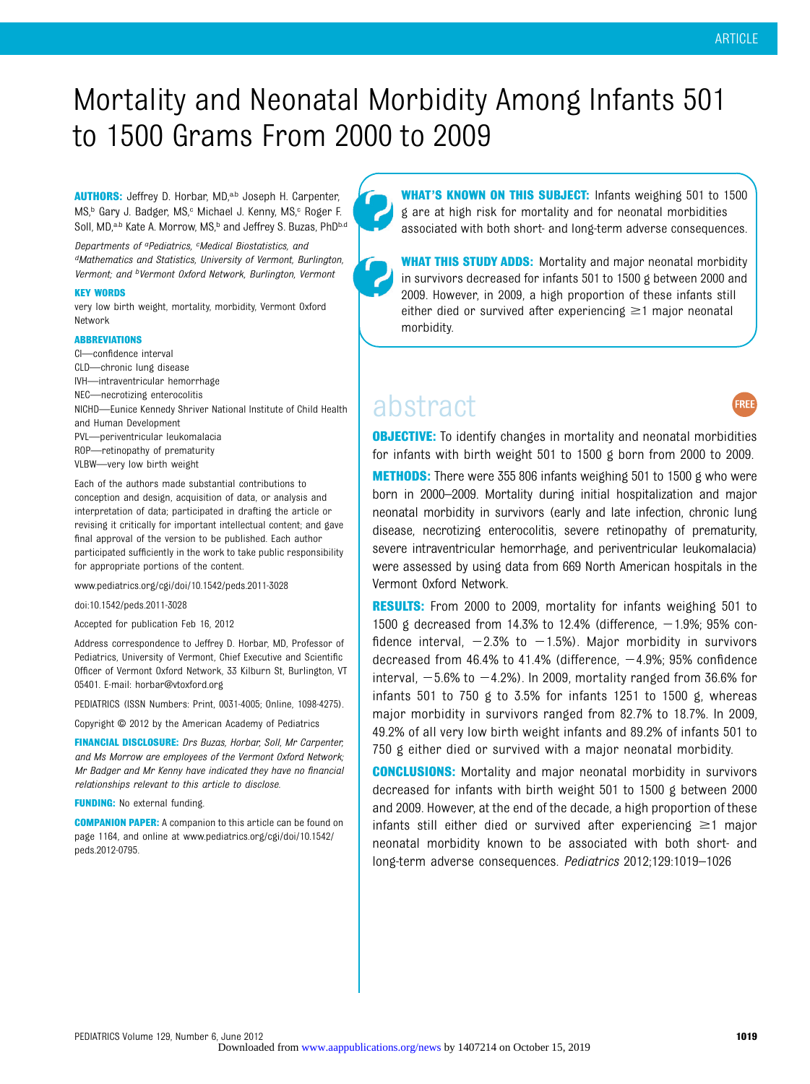## Mortality and Neonatal Morbidity Among Infants 501 to 1500 Grams From 2000 to 2009

AUTHORS: Jeffrey D. Horbar, MD,<sup>a,b</sup> Joseph H. Carpenter, MS,<sup>b</sup> Gary J. Badger, MS,<sup>c</sup> Michael J. Kenny, MS,<sup>c</sup> Roger F. Soll, MD,<sup>a,b</sup> Kate A. Morrow, MS,<sup>b</sup> and Jeffrey S. Buzas, PhD<sup>b,d</sup>

Departments of <sup>a</sup>Pediatrics, <sup>c</sup>Medical Biostatistics, and dMathematics and Statistics, University of Vermont, Burlington, Vermont; and bVermont Oxford Network, Burlington, Vermont

#### KEY WORDS

very low birth weight, mortality, morbidity, Vermont Oxford Network

#### ABBREVIATIONS

- CI—confidence interval CLD—chronic lung disease IVH—intraventricular hemorrhage
- NEC—necrotizing enterocolitis
- NICHD—Eunice Kennedy Shriver National Institute of Child Health
- and Human Development
- PVL—periventricular leukomalacia
- ROP—retinopathy of prematurity
- VLBW—very low birth weight

Each of the authors made substantial contributions to conception and design, acquisition of data, or analysis and interpretation of data; participated in drafting the article or revising it critically for important intellectual content; and gave final approval of the version to be published. Each author participated sufficiently in the work to take public responsibility for appropriate portions of the content.

www.pediatrics.org/cgi/doi/10.1542/peds.2011-3028

#### doi:10.1542/peds.2011-3028

Accepted for publication Feb 16, 2012

Address correspondence to Jeffrey D. Horbar, MD, Professor of Pediatrics, University of Vermont, Chief Executive and Scientific Officer of Vermont Oxford Network, 33 Kilburn St, Burlington, VT 05401. E-mail: [horbar@vtoxford.org](mailto:horbar@vtoxford.org)

PEDIATRICS (ISSN Numbers: Print, 0031-4005; Online, 1098-4275).

Copyright © 2012 by the American Academy of Pediatrics

FINANCIAL DISCLOSURE: Drs Buzas, Horbar, Soll, Mr Carpenter, and Ms Morrow are employees of the Vermont Oxford Network; Mr Badger and Mr Kenny have indicated they have no financial relationships relevant to this article to disclose.

FUNDING: No external funding.

COMPANION PAPER: A companion to this article can be found on page 1164, and online at [www.pediatrics.org/cgi/doi/10.1542/](http://www.pediatrics.org/cgi/doi/10.1542/peds.2012-0795) [peds.2012-0795](http://www.pediatrics.org/cgi/doi/10.1542/peds.2012-0795).

WHAT'S KNOWN ON THIS SUBJECT: Infants weighing 501 to 1500 g are at high risk for mortality and for neonatal morbidities associated with both short- and long-term adverse consequences.

**WHAT THIS STUDY ADDS:** Mortality and major neonatal morbidity in survivors decreased for infants 501 to 1500 g between 2000 and 2009. However, in 2009, a high proportion of these infants still either died or survived after experiencing  $\geq$ 1 major neonatal morbidity.

### abstract



**OBJECTIVE:** To identify changes in mortality and neonatal morbidities for infants with birth weight 501 to 1500 g born from 2000 to 2009.

**METHODS:** There were 355 806 infants weighing 501 to 1500 g who were born in 2000–2009. Mortality during initial hospitalization and major neonatal morbidity in survivors (early and late infection, chronic lung disease, necrotizing enterocolitis, severe retinopathy of prematurity, severe intraventricular hemorrhage, and periventricular leukomalacia) were assessed by using data from 669 North American hospitals in the Vermont Oxford Network.

**RESULTS:** From 2000 to 2009, mortality for infants weighing 501 to 1500 g decreased from 14.3% to 12.4% (difference,  $-1.9$ %; 95% confidence interval,  $-2.3\%$  to  $-1.5\%$ ). Major morbidity in survivors decreased from  $46.4\%$  to  $41.4\%$  (difference,  $-4.9\%$ ; 95% confidence interval,  $-5.6\%$  to  $-4.2\%$ ). In 2009, mortality ranged from 36.6% for infants 501 to 750 g to 3.5% for infants 1251 to 1500 g, whereas major morbidity in survivors ranged from 82.7% to 18.7%. In 2009, 49.2% of all very low birth weight infants and 89.2% of infants 501 to 750 g either died or survived with a major neonatal morbidity.

**CONCLUSIONS:** Mortality and major neonatal morbidity in survivors decreased for infants with birth weight 501 to 1500 g between 2000 and 2009. However, at the end of the decade, a high proportion of these infants still either died or survived after experiencing  $\geq$ 1 major neonatal morbidity known to be associated with both short- and long-term adverse consequences. Pediatrics 2012;129:1019–1026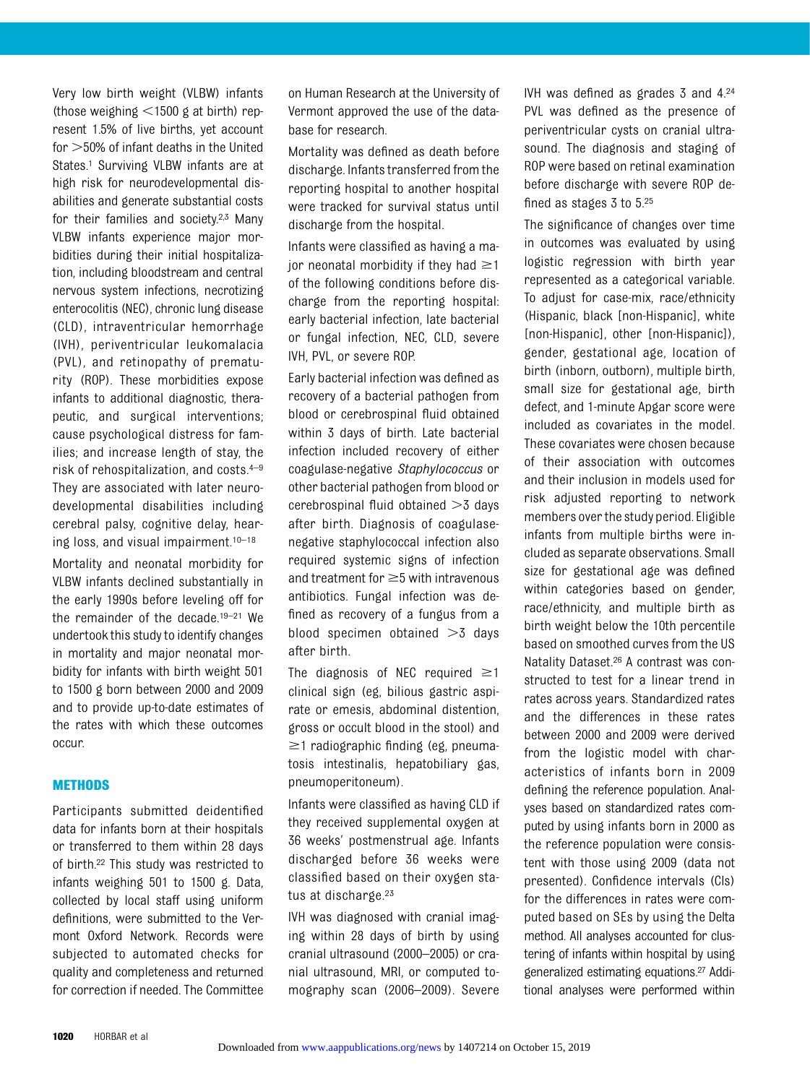Very low birth weight (VLBW) infants (those weighing  $\leq$ 1500 g at birth) represent 1.5% of live births, yet account for  $>50\%$  of infant deaths in the United States.<sup>1</sup> Surviving VLBW infants are at high risk for neurodevelopmental disabilities and generate substantial costs for their families and society.2,3 Many VLBW infants experience major morbidities during their initial hospitalization, including bloodstream and central nervous system infections, necrotizing enterocolitis (NEC), chronic lung disease (CLD), intraventricular hemorrhage (IVH), periventricular leukomalacia (PVL), and retinopathy of prematurity (ROP). These morbidities expose infants to additional diagnostic, therapeutic, and surgical interventions; cause psychological distress for families; and increase length of stay, the risk of rehospitalization, and costs.4–<sup>9</sup> They are associated with later neurodevelopmental disabilities including cerebral palsy, cognitive delay, hearing loss, and visual impairment.10–<sup>18</sup>

Mortality and neonatal morbidity for VLBW infants declined substantially in the early 1990s before leveling off for the remainder of the decade.19–<sup>21</sup> We undertook this study to identify changes in mortality and major neonatal morbidity for infants with birth weight 501 to 1500 g born between 2000 and 2009 and to provide up-to-date estimates of the rates with which these outcomes occur.

#### **METHODS**

Participants submitted deidentified data for infants born at their hospitals or transferred to them within 28 days of birth.22 This study was restricted to infants weighing 501 to 1500 g. Data, collected by local staff using uniform definitions, were submitted to the Vermont Oxford Network. Records were subjected to automated checks for quality and completeness and returned for correction if needed. The Committee

on Human Research at the University of Vermont approved the use of the database for research.

Mortality was defined as death before discharge. Infants transferred from the reporting hospital to another hospital were tracked for survival status until discharge from the hospital.

Infants were classified as having a major neonatal morbidity if they had  $\geq$ 1 of the following conditions before discharge from the reporting hospital: early bacterial infection, late bacterial or fungal infection, NEC, CLD, severe IVH, PVL, or severe ROP.

Early bacterial infection was defined as recovery of a bacterial pathogen from blood or cerebrospinal fluid obtained within 3 days of birth. Late bacterial infection included recovery of either coagulase-negative Staphylococcus or other bacterial pathogen from blood or cerebrospinal fluid obtained  $>3$  days after birth. Diagnosis of coagulasenegative staphylococcal infection also required systemic signs of infection and treatment for  $\geq$ 5 with intravenous antibiotics. Fungal infection was defined as recovery of a fungus from a blood specimen obtained  $>3$  days after birth.

The diagnosis of NEC required  $\geq 1$ clinical sign (eg, bilious gastric aspirate or emesis, abdominal distention, gross or occult blood in the stool) and  $\geq$ 1 radiographic finding (eg, pneumatosis intestinalis, hepatobiliary gas, pneumoperitoneum).

Infants were classified as having CLD if they received supplemental oxygen at 36 weeks' postmenstrual age. Infants discharged before 36 weeks were classified based on their oxygen status at discharge.<sup>23</sup>

IVH was diagnosed with cranial imaging within 28 days of birth by using cranial ultrasound (2000–2005) or cranial ultrasound, MRI, or computed tomography scan (2006–2009). Severe IVH was defined as grades 3 and 4.24 PVL was defined as the presence of periventricular cysts on cranial ultrasound. The diagnosis and staging of ROP were based on retinal examination before discharge with severe ROP defined as stages 3 to 5.25

The significance of changes over time in outcomes was evaluated by using logistic regression with birth year represented as a categorical variable. To adjust for case-mix, race/ethnicity (Hispanic, black [non-Hispanic], white [non-Hispanic], other [non-Hispanic]), gender, gestational age, location of birth (inborn, outborn), multiple birth, small size for gestational age, birth defect, and 1-minute Apgar score were included as covariates in the model. These covariates were chosen because of their association with outcomes and their inclusion in models used for risk adjusted reporting to network members over the study period. Eligible infants from multiple births were included as separate observations. Small size for gestational age was defined within categories based on gender, race/ethnicity, and multiple birth as birth weight below the 10th percentile based on smoothed curves from the US Natality Dataset.26 A contrast was constructed to test for a linear trend in rates across years. Standardized rates and the differences in these rates between 2000 and 2009 were derived from the logistic model with characteristics of infants born in 2009 defining the reference population. Analyses based on standardized rates computed by using infants born in 2000 as the reference population were consistent with those using 2009 (data not presented). Confidence intervals (CIs) for the differences in rates were computed based on SEs by using the Delta method. All analyses accounted for clustering of infants within hospital by using generalized estimating equations.27 Additional analyses were performed within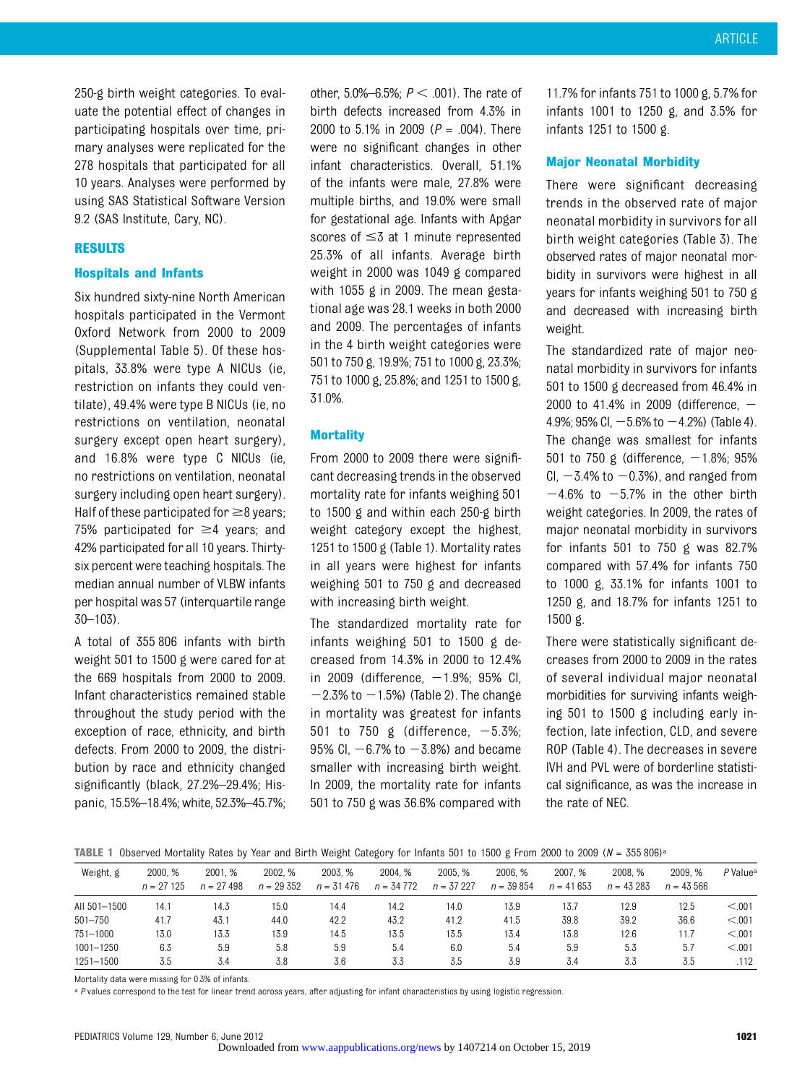250-g birth weight categories. To evaluate the potential effect of changes in participating hospitals over time, primary analyses were replicated for the 278 hospitals that participated for all 10 years. Analyses were performed by using SAS Statistical Software Version 9.2 (SAS Institute, Cary, NC).

#### RESULTS

#### Hospitals and Infants

Six hundred sixty-nine North American hospitals participated in the Vermont Oxford Network from 2000 to 2009 (Supplemental Table 5). Of these hospitals, 33.8% were type A NICUs (ie, restriction on infants they could ventilate), 49.4% were type B NICUs (ie, no restrictions on ventilation, neonatal surgery except open heart surgery), and 16.8% were type C NICUs (ie, no restrictions on ventilation, neonatal surgery including open heart surgery). Half of these participated for  $\geq$ 8 years; 75% participated for  $\geq$ 4 years; and 42% participated for all 10 years. Thirtysix percent were teaching hospitals. The median annual number of VLBW infants per hospital was 57 (interquartile range 30–103).

A total of 355 806 infants with birth weight 501 to 1500 g were cared for at the 669 hospitals from 2000 to 2009. Infant characteristics remained stable throughout the study period with the exception of race, ethnicity, and birth defects. From 2000 to 2009, the distribution by race and ethnicity changed significantly (black, 27.2%–29.4%; Hispanic, 15.5%–18.4%; white, 52.3%–45.7%;

other, 5.0%–6.5%;  $P < 001$ ). The rate of birth defects increased from 4.3% in 2000 to 5.1% in 2009 ( $P = .004$ ). There were no significant changes in other infant characteristics. Overall, 51.1% of the infants were male, 27.8% were multiple births, and 19.0% were small for gestational age. Infants with Apgar scores of  $\leq$  3 at 1 minute represented 25.3% of all infants. Average birth weight in 2000 was 1049 g compared with 1055 g in 2009. The mean gestational age was 28.1 weeks in both 2000 and 2009. The percentages of infants in the 4 birth weight categories were 501 to 750 g, 19.9%; 751 to 1000 g, 23.3%; 751 to 1000 g, 25.8%; and 1251 to 1500 g, 31.0%.

#### **Mortality**

From 2000 to 2009 there were significant decreasing trends in the observed mortality rate for infants weighing 501 to 1500 g and within each 250-g birth weight category except the highest, 1251 to 1500 g (Table 1). Mortality rates in all years were highest for infants weighing 501 to 750 g and decreased with increasing birth weight.

The standardized mortality rate for infants weighing 501 to 1500 g decreased from 14.3% in 2000 to 12.4% in 2009 (difference,  $-1.9\%$ ; 95% CI,  $-2.3\%$  to  $-1.5\%$ ) (Table 2). The change in mortality was greatest for infants 501 to 750 g (difference,  $-5.3\%$ ; 95% Cl,  $-6.7%$  to  $-3.8%$ ) and became smaller with increasing birth weight. In 2009, the mortality rate for infants 501 to 750 g was 36.6% compared with

11.7% for infants 751 to 1000 g, 5.7% for infants 1001 to 1250 g, and 3.5% for infants 1251 to 1500 g.

#### Major Neonatal Morbidity

There were significant decreasing trends in the observed rate of major neonatal morbidity in survivors for all birth weight categories (Table 3). The observed rates of major neonatal morbidity in survivors were highest in all years for infants weighing 501 to 750 g and decreased with increasing birth weight.

The standardized rate of major neonatal morbidity in survivors for infants 501 to 1500 g decreased from 46.4% in 2000 to 41.4% in 2009 (difference,  $-$ 4.9%; 95% Cl,  $-5.6$ % to  $-4.2$ %) (Table 4). The change was smallest for infants 501 to 750 g (difference,  $-1.8\%$ ; 95% CI,  $-3.4\%$  to  $-0.3\%$ ), and ranged from  $-4.6\%$  to  $-5.7\%$  in the other birth weight categories. In 2009, the rates of major neonatal morbidity in survivors for infants 501 to 750 g was 82.7% compared with 57.4% for infants 750 to 1000 g, 33.1% for infants 1001 to 1250 g, and 18.7% for infants 1251 to 1500 g.

There were statistically significant decreases from 2000 to 2009 in the rates of several individual major neonatal morbidities for surviving infants weighing 501 to 1500 g including early infection, late infection, CLD, and severe ROP (Table 4). The decreases in severe IVH and PVL were of borderline statistical significance, as was the increase in the rate of NEC.

TABLE 1 Observed Mortality Rates by Year and Birth Weight Category for Infants 501 to 1500 g From 2000 to 2009 ( $N = 355\,806$ )<sup>a</sup>

| Weight, g    | 2000. %<br>$n = 27125$ | 2001. %<br>$n = 27,498$ | 2002. %<br>$n = 29352$ | 2003. %<br>$n = 31476$ | 2004. %<br>$n = 34772$ | 2005. %<br>$n = 37227$ | 2006. %<br>$n = 39854$ | 2007. %<br>$n = 41653$ | 2008. %<br>$n = 43283$ | 2009. %<br>$n = 43,566$ | P Value <sup>a</sup> |
|--------------|------------------------|-------------------------|------------------------|------------------------|------------------------|------------------------|------------------------|------------------------|------------------------|-------------------------|----------------------|
| AII 501-1500 | 14.1                   | 14.3                    | 15.0                   | 14.4                   | 14.2                   | 14.0                   | 13.9                   | 13.7                   | 12.9                   | 12.5                    | < 0.001              |
| $501 - 750$  | 41.7                   | 43.1                    | 44.0                   | 42.2                   | 43.2                   | 41.2                   | 41.5                   | 39.8                   | 39.2                   | 36.6                    | < 0.001              |
| 751-1000     | 13.0                   | 13.3                    | 13.9                   | 14.5                   | 13.5                   | 13.5                   | 13.4                   | 13.8                   | 12.6                   | l 1.7                   | < 0.01               |
| 1001-1250    | 6.3                    | 5.9                     | 5.8                    | 5.9                    | 5.4                    | 6.0                    | 5.4                    | 5.9                    | 5.3                    | 5.7                     | < 0.001              |
| 1251-1500    | 3.5                    | 3.4                     | 3.8                    | 3.6                    | 3.3                    | 3.5                    | 3.9                    | 3.4                    | 3.3                    | 3.5                     | .112                 |

Mortality data were missing for 0.3% of infants.

a P values correspond to the test for linear trend across years, after adjusting for infant characteristics by using logistic regression.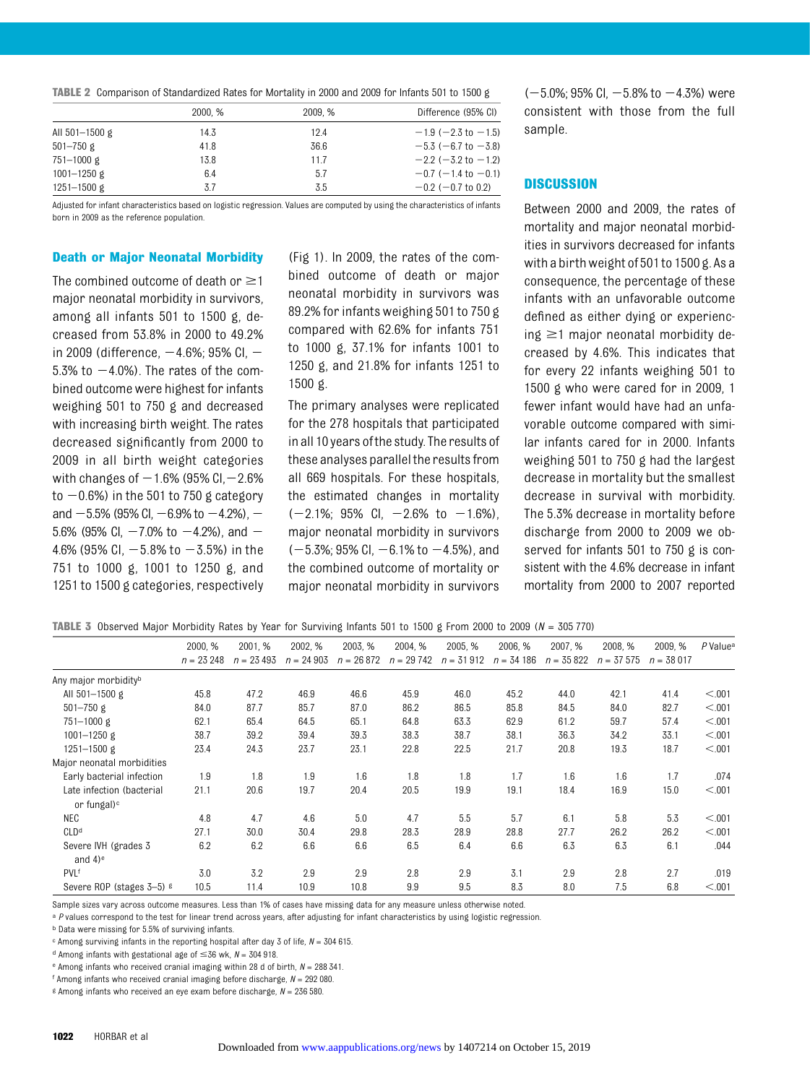|  | <b>TABLE 2</b> Comparison of Standardized Rates for Mortality in 2000 and 2009 for Infants 501 to 1500 g |  |  |  |
|--|----------------------------------------------------------------------------------------------------------|--|--|--|
|  |                                                                                                          |  |  |  |

|                 | 2000. % | 2009. % | Difference (95% CI)         |
|-----------------|---------|---------|-----------------------------|
| All 501-1500 g  | 14.3    | 12.4    | $-1.9$ (-2.3 to -1.5)       |
| $501 - 750$ g   | 41.8    | 36.6    | $-5.3$ (-6.7 to $-3.8$ )    |
| 751-1000 g      | 13.8    | 11.7    | $-2.2$ ( $-3.2$ to $-1.2$ ) |
| $1001 - 1250$ g | 6.4     | 5.7     | $-0.7$ (-1.4 to -0.1)       |
| 1251-1500 g     | 3.7     | 3.5     | $-0.2$ ( $-0.7$ to 0.2)     |

Adjusted for infant characteristics based on logistic regression. Values are computed by using the characteristics of infants born in 2009 as the reference population.

#### Death or Major Neonatal Morbidity

The combined outcome of death or  $\geq$ 1 major neonatal morbidity in survivors, among all infants 501 to 1500 g, decreased from 53.8% in 2000 to 49.2% in 2009 (difference,  $-4.6%$ ; 95% CI,  $-$ 5.3% to  $-4.0$ %). The rates of the combined outcome were highest for infants weighing 501 to 750 g and decreased with increasing birth weight. The rates decreased significantly from 2000 to 2009 in all birth weight categories with changes of  $-1.6%$  (95% CI,  $-2.6%$ to  $-0.6$ %) in the 501 to 750 g category and  $-5.5\%$  (95% CI,  $-6.9\%$  to  $-4.2\%$ ),  $-$ 5.6% (95% Cl,  $-7.0$ % to  $-4.2$ %), and  $-$ 4.6% (95% CI,  $-5.8$ % to  $-3.5$ %) in the 751 to 1000 g, 1001 to 1250 g, and 1251 to 1500 g categories, respectively

(Fig 1). In 2009, the rates of the combined outcome of death or major neonatal morbidity in survivors was 89.2% for infants weighing 501 to 750 g compared with 62.6% for infants 751 to 1000 g, 37.1% for infants 1001 to 1250 g, and 21.8% for infants 1251 to 1500 g.

The primary analyses were replicated for the 278 hospitals that participated in all 10 years ofthe study. The results of these analyses parallel the results from all 669 hospitals. For these hospitals, the estimated changes in mortality  $(-2.1\%; 95\% \text{ Cl}, -2.6\% \text{ to } -1.6\%),$ major neonatal morbidity in survivors  $(-5.3\%; 95\% \text{ Cl}, -6.1\% \text{ to } -4.5\%)$ , and the combined outcome of mortality or major neonatal morbidity in survivors

 $(-5.0\%; 95\% \text{ Cl.} - 5.8\% \text{ to } -4.3\%)$  were consistent with those from the full sample.

#### **DISCUSSION**

Between 2000 and 2009, the rates of mortality and major neonatal morbidities in survivors decreased for infants with a birthweight of 501to 1500 g. As a consequence, the percentage of these infants with an unfavorable outcome defined as either dying or experiencing  $\geq$ 1 major neonatal morbidity decreased by 4.6%. This indicates that for every 22 infants weighing 501 to 1500 g who were cared for in 2009, 1 fewer infant would have had an unfavorable outcome compared with similar infants cared for in 2000. Infants weighing 501 to 750 g had the largest decrease in mortality but the smallest decrease in survival with morbidity. The 5.3% decrease in mortality before discharge from 2000 to 2009 we observed for infants 501 to 750 g is consistent with the 4.6% decrease in infant mortality from 2000 to 2007 reported

| <b>TABLE 3</b> Observed Major Morbidity Rates by Year for Surviving Infants 501 to 1500 g From 2000 to 2009 ( $N = 305770$ ) |  |  |  |
|------------------------------------------------------------------------------------------------------------------------------|--|--|--|

|                                  | 2000, %     | 2001, %     | 2002, %     | 2003, %     | 2004, %     | 2005, %     | 2006, %     | 2007, %     | 2008, %     | 2009, %     | P Value <sup>a</sup> |
|----------------------------------|-------------|-------------|-------------|-------------|-------------|-------------|-------------|-------------|-------------|-------------|----------------------|
|                                  | $n = 23248$ | $n = 23493$ | $n = 24903$ | $n = 26872$ | $n = 29742$ | $n = 31912$ | $n = 34186$ | $n = 35822$ | $n = 37575$ | $n = 38017$ |                      |
|                                  |             |             |             |             |             |             |             |             |             |             |                      |
| Any major morbidity <sup>b</sup> |             |             |             |             |             |             |             |             |             |             |                      |
| All 501-1500 g                   | 45.8        | 47.2        | 46.9        | 46.6        | 45.9        | 46.0        | 45.2        | 44.0        | 42.1        | 41.4        | < 0.01               |
| $501 - 750$ g                    | 84.0        | 87.7        | 85.7        | 87.0        | 86.2        | 86.5        | 85.8        | 84.5        | 84.0        | 82.7        | < 0.001              |
| 751-1000 g                       | 62.1        | 65.4        | 64.5        | 65.1        | 64.8        | 63.3        | 62.9        | 61.2        | 59.7        | 57.4        | < 0.01               |
| $1001 - 1250$ g                  | 38.7        | 39.2        | 39.4        | 39.3        | 38.3        | 38.7        | 38.1        | 36.3        | 34.2        | 33.1        | < 0.001              |
| 1251-1500 g                      | 23.4        | 24.3        | 23.7        | 23.1        | 22.8        | 22.5        | 21.7        | 20.8        | 19.3        | 18.7        | < 0.01               |
| Major neonatal morbidities       |             |             |             |             |             |             |             |             |             |             |                      |
| Early bacterial infection        | 1.9         | 1.8         | 1.9         | 1.6         | 1.8         | 1.8         | 1.7         | 1.6         | 1.6         | 1.7         | .074                 |
| Late infection (bacterial        | 21.1        | 20.6        | 19.7        | 20.4        | 20.5        | 19.9        | 19.1        | 18.4        | 16.9        | 15.0        | < 0.01               |
| or fungal) <sup>c</sup>          |             |             |             |             |             |             |             |             |             |             |                      |
| NEC                              | 4.8         | 4.7         | 4.6         | 5.0         | 4.7         | 5.5         | 5.7         | 6.1         | 5.8         | 5.3         | < 0.01               |
| CLD <sup>d</sup>                 | 27.1        | 30.0        | 30.4        | 29.8        | 28.3        | 28.9        | 28.8        | 27.7        | 26.2        | 26.2        | < 0.01               |
| Severe IVH (grades 3             | 6.2         | 6.2         | 6.6         | 6.6         | 6.5         | 6.4         | 6.6         | 6.3         | 6.3         | 6.1         | .044                 |
| and $4$ ) <sup>e</sup>           |             |             |             |             |             |             |             |             |             |             |                      |
| <b>PVLf</b>                      | 3.0         | 3.2         | 2.9         | 2.9         | 2.8         | 2.9         | 3.1         | 2.9         | 2.8         | 2.7         | .019                 |
| Severe ROP (stages 3-5) 8        | 10.5        | 11.4        | 10.9        | 10.8        | 9.9         | 9.5         | 8.3         | 8.0         | 7.5         | 6.8         | < 0.001              |
|                                  |             |             |             |             |             |             |             |             |             |             |                      |

Sample sizes vary across outcome measures. Less than 1% of cases have missing data for any measure unless otherwise noted.

a P values correspond to the test for linear trend across years, after adjusting for infant characteristics by using logistic regression.

b Data were missing for 5.5% of surviving infants.

 $c$  Among surviving infants in the reporting hospital after day 3 of life,  $N = 304615$ .

<sup>d</sup> Among infants with gestational age of  $\leq$  36 wk, N = 304 918.

 $e$  Among infants who received cranial imaging within 28 d of birth,  $N = 288341$ .

f Among infants who received cranial imaging before discharge,  $N = 292080$ .

<sup>g</sup> Among infants who received an eye exam before discharge,  $N = 236580$ .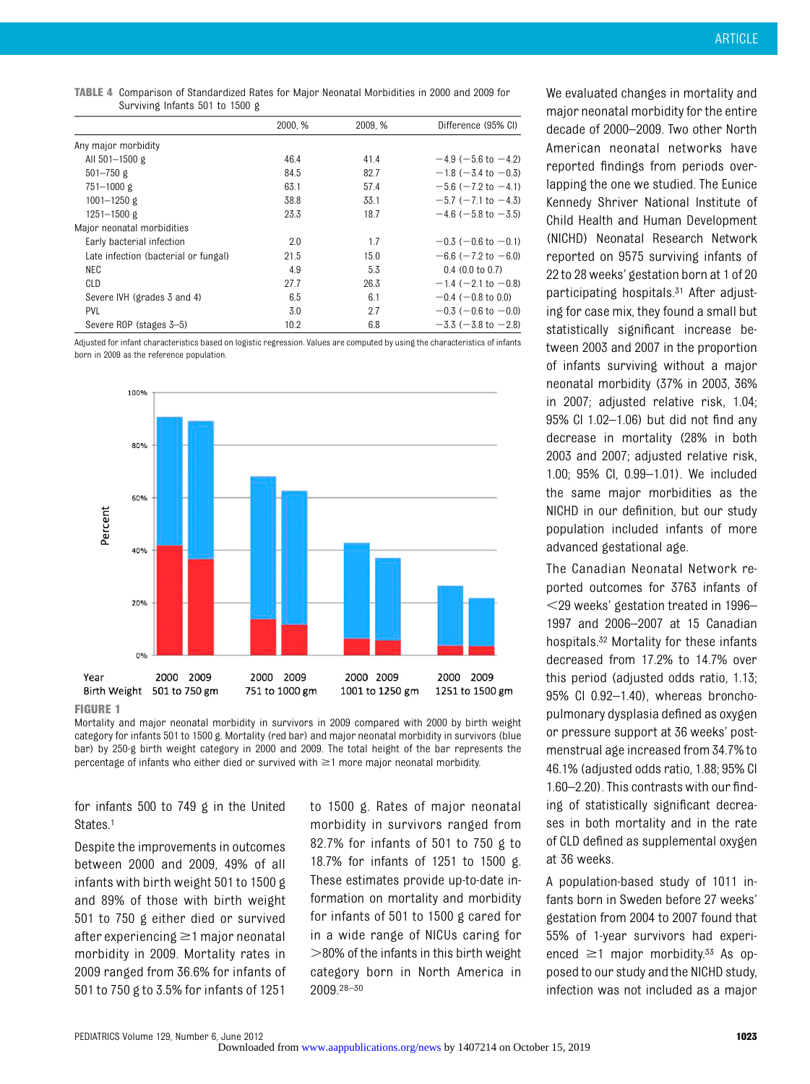TABLE 4 Comparison of Standardized Rates for Major Neonatal Morbidities in 2000 and 2009 for Surviving Infants 501 to 1500 g

|                                      | 2000, % | 2009, % | Difference (95% CI)         |
|--------------------------------------|---------|---------|-----------------------------|
|                                      |         |         |                             |
| Any major morbidity                  |         |         |                             |
| All 501-1500 g                       | 46.4    | 41.4    | $-4.9$ (-5.6 to -4.2)       |
| $501 - 750$ g                        | 84.5    | 82.7    | $-1.8$ (-3.4 to -0.3)       |
| 751-1000 g                           | 63.1    | 57.4    | $-5.6$ ( $-7.2$ to $-4.1$ ) |
| 1001-1250 g                          | 38.8    | 33.1    | $-5.7$ ( $-7.1$ to $-4.3$ ) |
| $1251 - 1500$ g                      | 23.3    | 18.7    | $-4.6$ (-5.8 to -3.5)       |
| Major neonatal morbidities           |         |         |                             |
| Early bacterial infection            | 2.0     | 1.7     | $-0.3$ ( $-0.6$ to $-0.1$ ) |
| Late infection (bacterial or fungal) | 21.5    | 15.0    | $-6.6$ ( $-7.2$ to $-6.0$ ) |
| NEC                                  | 4.9     | 5.3     | $0.4$ (0.0 to 0.7)          |
| CLD                                  | 27.7    | 26.3    | $-1.4$ (-2.1 to -0.8)       |
| Severe IVH (grades 3 and 4)          | 6.5     | 6.1     | $-0.4$ ( $-0.8$ to 0.0)     |
| PVL                                  | 3.0     | 2.7     | $-0.3$ (-0.6 to -0.0)       |
| Severe ROP (stages 3-5)              | 10.2    | 6.8     | $-3.3$ ( $-3.8$ to $-2.8$ ) |

Adjusted for infant characteristics based on logistic regression. Values are computed by using the characteristics of infants born in 2009 as the reference population.



#### FIGURE 1

Mortality and major neonatal morbidity in survivors in 2009 compared with 2000 by birth weight category for infants 501 to 1500 g. Mortality (red bar) and major neonatal morbidity in survivors (blue bar) by 250-g birth weight category in 2000 and 2009. The total height of the bar represents the percentage of infants who either died or survived with  $\geq$ 1 more major neonatal morbidity.

for infants 500 to 749 g in the United States.<sup>1</sup>

Despite the improvements in outcomes between 2000 and 2009, 49% of all infants with birth weight 501 to 1500 g and 89% of those with birth weight 501 to 750 g either died or survived after experiencing  $\geq$ 1 major neonatal morbidity in 2009. Mortality rates in 2009 ranged from 36.6% for infants of 501 to 750 g to 3.5% for infants of 1251 to 1500 g. Rates of major neonatal morbidity in survivors ranged from 82.7% for infants of 501 to 750 g to 18.7% for infants of 1251 to 1500 g. These estimates provide up-to-date information on mortality and morbidity for infants of 501 to 1500 g cared for in a wide range of NICUs caring for  $>$ 80% of the infants in this birth weight category born in North America in 2009.28–<sup>30</sup>

We evaluated changes in mortality and major neonatal morbidity for the entire decade of 2000–2009. Two other North American neonatal networks have reported findings from periods overlapping the one we studied. The Eunice Kennedy Shriver National Institute of Child Health and Human Development (NICHD) Neonatal Research Network reported on 9575 surviving infants of 22 to 28 weeks' gestation born at 1 of 20 participating hospitals.<sup>31</sup> After adjusting for case mix, they found a small but statistically significant increase between 2003 and 2007 in the proportion of infants surviving without a major neonatal morbidity (37% in 2003, 36% in 2007; adjusted relative risk, 1.04; 95% CI 1.02–1.06) but did not find any decrease in mortality (28% in both 2003 and 2007; adjusted relative risk, 1.00; 95% CI, 0.99–1.01). We included the same major morbidities as the NICHD in our definition, but our study population included infants of more advanced gestational age.

The Canadian Neonatal Network reported outcomes for 3763 infants of  $<$ 29 weeks' gestation treated in 1996– 1997 and 2006–2007 at 15 Canadian hospitals.32 Mortality for these infants decreased from 17.2% to 14.7% over this period (adjusted odds ratio, 1.13; 95% CI 0.92–1.40), whereas bronchopulmonary dysplasia defined as oxygen or pressure support at 36 weeks' postmenstrual age increased from 34.7% to 46.1% (adjusted odds ratio, 1.88; 95% CI 1.60–2.20). This contrasts with our finding of statistically significant decreases in both mortality and in the rate of CLD defined as supplemental oxygen at 36 weeks.

A population-based study of 1011 infants born in Sweden before 27 weeks' gestation from 2004 to 2007 found that 55% of 1-year survivors had experienced  $\geq$ 1 major morbidity.<sup>33</sup> As opposed to our study and the NICHD study, infection was not included as a major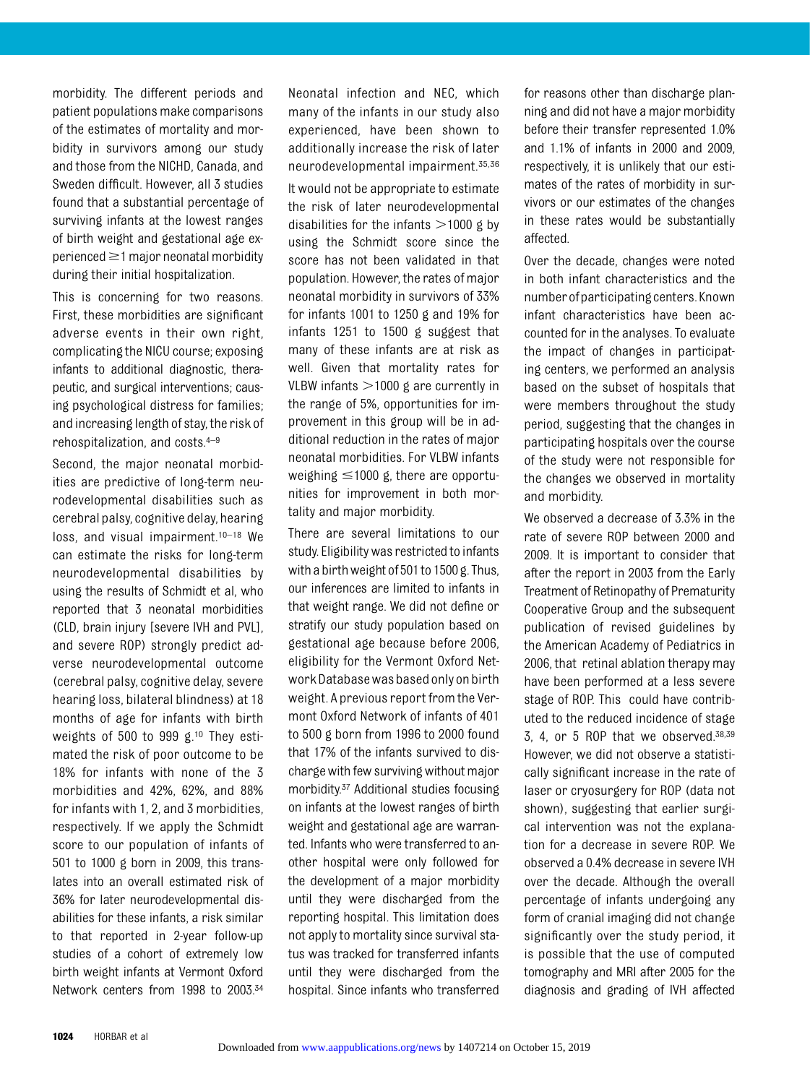morbidity. The different periods and patient populations make comparisons of the estimates of mortality and morbidity in survivors among our study and those from the NICHD, Canada, and Sweden difficult. However, all 3 studies found that a substantial percentage of surviving infants at the lowest ranges of birth weight and gestational age ex $period \geq 1$  major neonatal morbidity during their initial hospitalization.

This is concerning for two reasons. First, these morbidities are significant adverse events in their own right, complicating the NICU course; exposing infants to additional diagnostic, therapeutic, and surgical interventions; causing psychological distress for families; and increasing length of stay, the risk of rehospitalization, and costs.4–<sup>9</sup>

Second, the major neonatal morbidities are predictive of long-term neurodevelopmental disabilities such as cerebral palsy, cognitive delay, hearing loss, and visual impairment.<sup>10-18</sup> We can estimate the risks for long-term neurodevelopmental disabilities by using the results of Schmidt et al, who reported that 3 neonatal morbidities (CLD, brain injury [severe IVH and PVL], and severe ROP) strongly predict adverse neurodevelopmental outcome (cerebral palsy, cognitive delay, severe hearing loss, bilateral blindness) at 18 months of age for infants with birth weights of 500 to 999 g.10 They estimated the risk of poor outcome to be 18% for infants with none of the 3 morbidities and 42%, 62%, and 88% for infants with 1, 2, and 3 morbidities, respectively. If we apply the Schmidt score to our population of infants of 501 to 1000 g born in 2009, this translates into an overall estimated risk of 36% for later neurodevelopmental disabilities for these infants, a risk similar to that reported in 2-year follow-up studies of a cohort of extremely low birth weight infants at Vermont Oxford Network centers from 1998 to 2003.34 Neonatal infection and NEC, which many of the infants in our study also experienced, have been shown to additionally increase the risk of later neurodevelopmental impairment.35,36 It would not be appropriate to estimate the risk of later neurodevelopmental disabilities for the infants  $>$ 1000 g by using the Schmidt score since the score has not been validated in that population. However, the rates of major neonatal morbidity in survivors of 33% for infants 1001 to 1250 g and 19% for infants 1251 to 1500 g suggest that many of these infants are at risk as well. Given that mortality rates for VLBW infants  $>1000$  g are currently in the range of 5%, opportunities for improvement in this group will be in additional reduction in the rates of major neonatal morbidities. For VLBW infants weighing  $\leq 1000$  g, there are opportunities for improvement in both mortality and major morbidity.

There are several limitations to our study. Eligibility was restricted to infants with a birth weight of 501 to 1500 g. Thus, our inferences are limited to infants in that weight range. We did not define or stratify our study population based on gestational age because before 2006, eligibility for the Vermont Oxford Network Database was based only on birth weight. A previous report from the Vermont Oxford Network of infants of 401 to 500 g born from 1996 to 2000 found that 17% of the infants survived to discharge with few surviving without major morbidity.37 Additional studies focusing on infants at the lowest ranges of birth weight and gestational age are warranted. Infants who were transferred to another hospital were only followed for the development of a major morbidity until they were discharged from the reporting hospital. This limitation does not apply to mortality since survival status was tracked for transferred infants until they were discharged from the hospital. Since infants who transferred for reasons other than discharge planning and did not have a major morbidity before their transfer represented 1.0% and 1.1% of infants in 2000 and 2009, respectively, it is unlikely that our estimates of the rates of morbidity in survivors or our estimates of the changes in these rates would be substantially affected.

Over the decade, changes were noted in both infant characteristics and the numberofparticipating centers.Known infant characteristics have been accounted for in the analyses. To evaluate the impact of changes in participating centers, we performed an analysis based on the subset of hospitals that were members throughout the study period, suggesting that the changes in participating hospitals over the course of the study were not responsible for the changes we observed in mortality and morbidity.

We observed a decrease of 3.3% in the rate of severe ROP between 2000 and 2009. It is important to consider that after the report in 2003 from the Early Treatment of Retinopathy of Prematurity Cooperative Group and the subsequent publication of revised guidelines by the American Academy of Pediatrics in 2006, that retinal ablation therapy may have been performed at a less severe stage of ROP. This could have contributed to the reduced incidence of stage 3, 4, or 5 ROP that we observed. $38,39$ However, we did not observe a statistically significant increase in the rate of laser or cryosurgery for ROP (data not shown), suggesting that earlier surgical intervention was not the explanation for a decrease in severe ROP. We observed a 0.4% decrease in severe IVH over the decade. Although the overall percentage of infants undergoing any form of cranial imaging did not change significantly over the study period, it is possible that the use of computed tomography and MRI after 2005 for the diagnosis and grading of IVH affected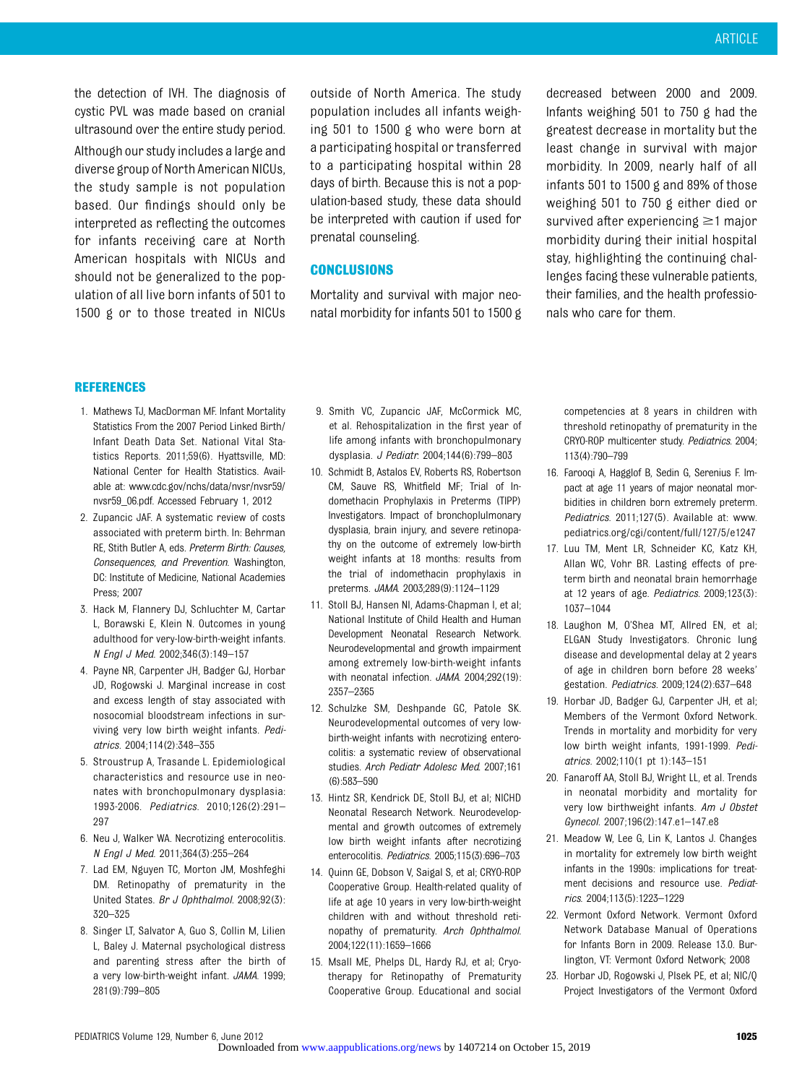the detection of IVH. The diagnosis of cystic PVL was made based on cranial ultrasound over the entire study period. Although our study includes a large and diverse group of North American NICUs, the study sample is not population based. Our findings should only be interpreted as reflecting the outcomes for infants receiving care at North American hospitals with NICUs and should not be generalized to the population of all live born infants of 501 to 1500 g or to those treated in NICUs outside of North America. The study population includes all infants weighing 501 to 1500 g who were born at a participating hospital or transferred to a participating hospital within 28 days of birth. Because this is not a population-based study, these data should be interpreted with caution if used for prenatal counseling.

#### **CONCLUSIONS**

Mortality and survival with major neonatal morbidity for infants 501 to 1500 g

decreased between 2000 and 2009. Infants weighing 501 to 750 g had the greatest decrease in mortality but the least change in survival with major morbidity. In 2009, nearly half of all infants 501 to 1500 g and 89% of those weighing 501 to 750 g either died or survived after experiencing  $\geq$ 1 major morbidity during their initial hospital stay, highlighting the continuing challenges facing these vulnerable patients, their families, and the health professionals who care for them.

#### REFERENCES

- 1. Mathews TJ, MacDorman MF. Infant Mortality Statistics From the 2007 Period Linked Birth/ Infant Death Data Set. National Vital Statistics Reports. 2011;59(6). Hyattsville, MD: National Center for Health Statistics. Available at: [www.cdc.gov/nchs/data/nvsr/nvsr59/](http://www.cdc.gov/nchs/data/nvsr/nvsr59/nvsr59_06.pdf) [nvsr59\\_06.pdf.](http://www.cdc.gov/nchs/data/nvsr/nvsr59/nvsr59_06.pdf) Accessed February 1, 2012
- 2. Zupancic JAF. A systematic review of costs associated with preterm birth. In: Behrman RE, Stith Butler A, eds. Preterm Birth: Causes, Consequences, and Prevention. Washington, DC: Institute of Medicine, National Academies Press; 2007
- 3. Hack M, Flannery DJ, Schluchter M, Cartar L, Borawski E, Klein N. Outcomes in young adulthood for very-low-birth-weight infants. N Engl J Med. 2002;346(3):149–157
- 4. Payne NR, Carpenter JH, Badger GJ, Horbar JD, Rogowski J. Marginal increase in cost and excess length of stay associated with nosocomial bloodstream infections in surviving very low birth weight infants. Pediatrics. 2004;114(2):348–355
- 5. Stroustrup A, Trasande L. Epidemiological characteristics and resource use in neonates with bronchopulmonary dysplasia: 1993-2006. Pediatrics. 2010;126(2):291– 297
- 6. Neu J, Walker WA. Necrotizing enterocolitis. N Engl J Med. 2011;364(3):255–264
- 7. Lad EM, Nguyen TC, Morton JM, Moshfeghi DM. Retinopathy of prematurity in the United States. Br J Ophthalmol. 2008;92(3): 320–325
- 8. Singer LT, Salvator A, Guo S, Collin M, Lilien L, Baley J. Maternal psychological distress and parenting stress after the birth of a very low-birth-weight infant. JAMA. 1999; 281(9):799–805
- 9. Smith VC, Zupancic JAF, McCormick MC, et al. Rehospitalization in the first year of life among infants with bronchopulmonary dysplasia. J Pediatr. 2004;144(6):799–803
- 10. Schmidt B, Astalos EV, Roberts RS, Robertson CM, Sauve RS, Whitfield MF; Trial of Indomethacin Prophylaxis in Preterms (TIPP) Investigators. Impact of bronchoplulmonary dysplasia, brain injury, and severe retinopathy on the outcome of extremely low-birth weight infants at 18 months: results from the trial of indomethacin prophylaxis in preterms. JAMA. 2003;289(9):1124–1129
- 11. Stoll BJ, Hansen NI, Adams-Chapman I, et al; National Institute of Child Health and Human Development Neonatal Research Network. Neurodevelopmental and growth impairment among extremely low-birth-weight infants with neonatal infection. JAMA. 2004;292(19): 2357–2365
- 12. Schulzke SM, Deshpande GC, Patole SK. Neurodevelopmental outcomes of very lowbirth-weight infants with necrotizing enterocolitis: a systematic review of observational studies. Arch Pediatr Adolesc Med. 2007;161 (6):583–590
- 13. Hintz SR, Kendrick DE, Stoll BJ, et al; NICHD Neonatal Research Network. Neurodevelopmental and growth outcomes of extremely low birth weight infants after necrotizing enterocolitis. Pediatrics. 2005;115(3):696–703
- 14. Quinn GE, Dobson V, Saigal S, et al; CRYO-ROP Cooperative Group. Health-related quality of life at age 10 years in very low-birth-weight children with and without threshold retinopathy of prematurity. Arch Ophthalmol. 2004;122(11):1659–1666
- 15. Msall ME, Phelps DL, Hardy RJ, et al; Cryotherapy for Retinopathy of Prematurity Cooperative Group. Educational and social

competencies at 8 years in children with threshold retinopathy of prematurity in the CRYO-ROP multicenter study. Pediatrics. 2004; 113(4):790–799

- 16. Farooqi A, Hagglof B, Sedin G, Serenius F. Impact at age 11 years of major neonatal morbidities in children born extremely preterm. Pediatrics. 2011:127(5). Available at: www. pediatrics.org/cgi/content/full/127/5/e1247
- 17. Luu TM, Ment LR, Schneider KC, Katz KH, Allan WC, Vohr BR. Lasting effects of preterm birth and neonatal brain hemorrhage at 12 years of age. Pediatrics. 2009;123(3): 1037–1044
- 18. Laughon M, O'Shea MT, Allred EN, et al; ELGAN Study Investigators. Chronic lung disease and developmental delay at 2 years of age in children born before 28 weeks' gestation. Pediatrics. 2009;124(2):637–648
- 19. Horbar JD, Badger GJ, Carpenter JH, et al; Members of the Vermont Oxford Network. Trends in mortality and morbidity for very low birth weight infants, 1991-1999. Pediatrics. 2002;110(1 pt 1):143–151
- 20. Fanaroff AA, Stoll BJ, Wright LL, et al. Trends in neonatal morbidity and mortality for very low birthweight infants. Am J Obstet Gynecol. 2007;196(2):147.e1–147.e8
- 21. Meadow W, Lee G, Lin K, Lantos J. Changes in mortality for extremely low birth weight infants in the 1990s: implications for treatment decisions and resource use. Pediatrics. 2004;113(5):1223–1229
- 22. Vermont Oxford Network. Vermont Oxford Network Database Manual of Operations for Infants Born in 2009. Release 13.0. Burlington, VT: Vermont Oxford Network; 2008
- 23. Horbar JD, Rogowski J, Plsek PE, et al; NIC/Q Project Investigators of the Vermont Oxford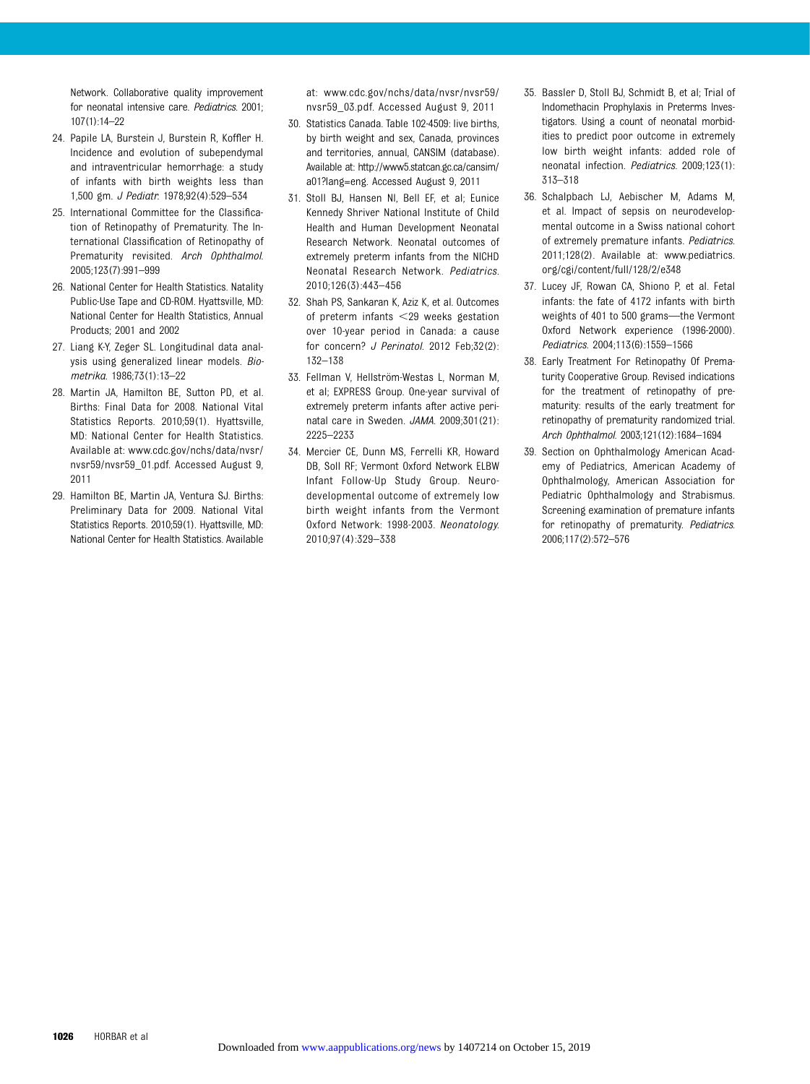Network. Collaborative quality improvement for neonatal intensive care. Pediatrics. 2001; 107(1):14–22

- 24. Papile LA, Burstein J, Burstein R, Koffler H. Incidence and evolution of subependymal and intraventricular hemorrhage: a study of infants with birth weights less than 1,500 gm. J Pediatr. 1978;92(4):529–534
- 25. International Committee for the Classification of Retinopathy of Prematurity. The International Classification of Retinopathy of Prematurity revisited. Arch Ophthalmol. 2005;123(7):991–999
- 26. National Center for Health Statistics. Natality Public-Use Tape and CD-ROM. Hyattsville, MD: National Center for Health Statistics, Annual Products; 2001 and 2002
- 27. Liang K-Y, Zeger SL. Longitudinal data analysis using generalized linear models. Biometrika. 1986;73(1):13–22
- 28. Martin JA, Hamilton BE, Sutton PD, et al. Births: Final Data for 2008. National Vital Statistics Reports. 2010;59(1). Hyattsville, MD: National Center for Health Statistics. Available at: [www.cdc.gov/nchs/data/nvsr/](http://www.cdc.gov/nchs/data/nvsr/nvsr59/nvsr59_01.pdf) [nvsr59/nvsr59\\_01.pdf.](http://www.cdc.gov/nchs/data/nvsr/nvsr59/nvsr59_01.pdf) Accessed August 9, 2011
- 29. Hamilton BE, Martin JA, Ventura SJ. Births: Preliminary Data for 2009. National Vital Statistics Reports. 2010;59(1). Hyattsville, MD: National Center for Health Statistics. Available

at: [www.cdc.gov/nchs/data/nvsr/nvsr59/](http://www.cdc.gov/nchs/data/nvsr/nvsr59/nvsr59_03.pdf) [nvsr59\\_03.pdf.](http://www.cdc.gov/nchs/data/nvsr/nvsr59/nvsr59_03.pdf) Accessed August 9, 2011

- 30. Statistics Canada. Table 102-4509: live births, by birth weight and sex, Canada, provinces and territories, annual, CANSIM (database). Available at: [http://www5.statcan.gc.ca/cansim/](http://www5.statcan.gc.ca/cansim/a01?lang=eng) [a01?lang=eng](http://www5.statcan.gc.ca/cansim/a01?lang=eng). Accessed August 9, 2011
- 31. Stoll BJ, Hansen NI, Bell EF, et al; Eunice Kennedy Shriver National Institute of Child Health and Human Development Neonatal Research Network. Neonatal outcomes of extremely preterm infants from the NICHD Neonatal Research Network. Pediatrics. 2010;126(3):443–456
- 32. Shah PS, Sankaran K, Aziz K, et al. Outcomes of preterm infants  $<$  29 weeks gestation over 10-year period in Canada: a cause for concern? J Perinatol. 2012 Feb;32(2): 132–138
- 33. Fellman V, Hellström-Westas L, Norman M, et al; EXPRESS Group. One-year survival of extremely preterm infants after active perinatal care in Sweden. JAMA. 2009;301(21): 2225–2233
- 34. Mercier CE, Dunn MS, Ferrelli KR, Howard DB, Soll RF; Vermont Oxford Network ELBW Infant Follow-Up Study Group. Neurodevelopmental outcome of extremely low birth weight infants from the Vermont Oxford Network: 1998-2003. Neonatology. 2010;97(4):329–338
- 35. Bassler D, Stoll BJ, Schmidt B, et al; Trial of Indomethacin Prophylaxis in Preterms Investigators. Using a count of neonatal morbidities to predict poor outcome in extremely low birth weight infants: added role of neonatal infection. Pediatrics. 2009;123(1): 313–318
- 36. Schalpbach LJ, Aebischer M, Adams M, et al. Impact of sepsis on neurodevelopmental outcome in a Swiss national cohort of extremely premature infants. Pediatrics. 2011;128(2). Available at: www.pediatrics. org/cgi/content/full/128/2/e348
- 37. Lucey JF, Rowan CA, Shiono P, et al. Fetal infants: the fate of 4172 infants with birth weights of 401 to 500 grams—the Vermont Oxford Network experience (1996-2000). Pediatrics. 2004;113(6):1559–1566
- 38. Early Treatment For Retinopathy Of Prematurity Cooperative Group. Revised indications for the treatment of retinopathy of prematurity: results of the early treatment for retinopathy of prematurity randomized trial. Arch Ophthalmol. 2003;121(12):1684–1694
- 39. Section on Ophthalmology American Academy of Pediatrics, American Academy of Ophthalmology, American Association for Pediatric Ophthalmology and Strabismus. Screening examination of premature infants for retinopathy of prematurity. Pediatrics. 2006;117(2):572–576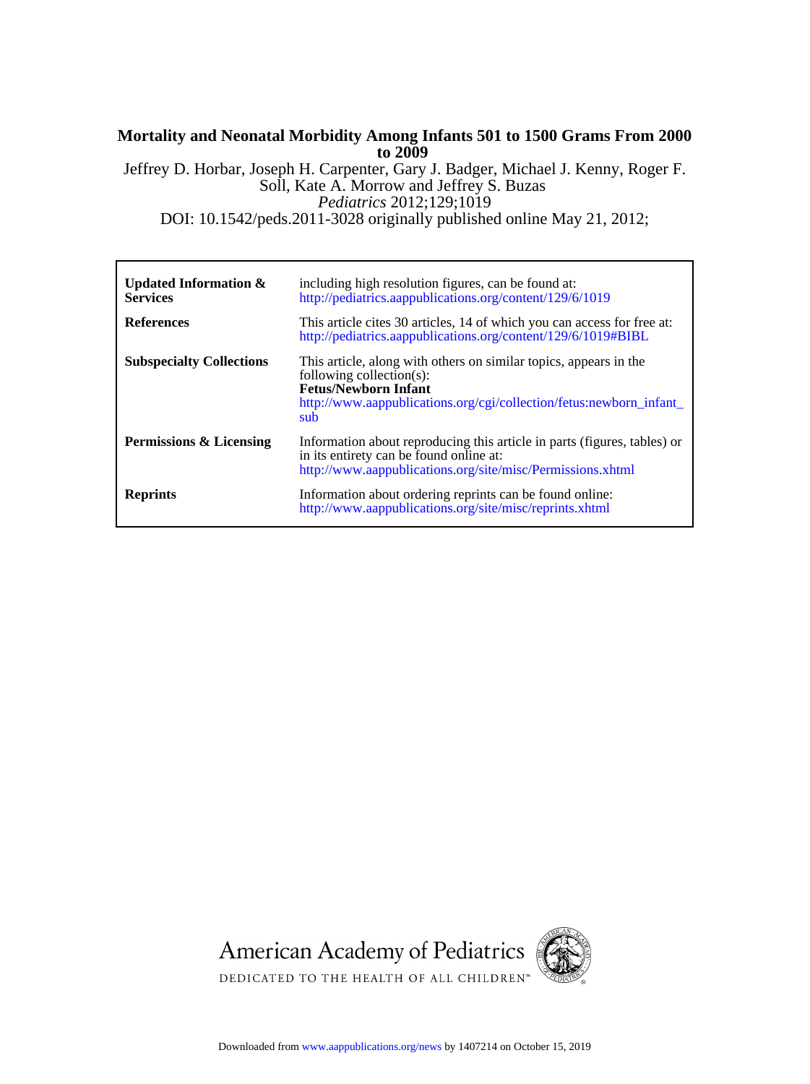#### Jeffrey D. Horbar, Joseph H. Carpenter, Gary J. Badger, Michael J. Kenny, Roger F. **to 2009 Mortality and Neonatal Morbidity Among Infants 501 to 1500 Grams From 2000**

DOI: 10.1542/peds.2011-3028 originally published online May 21, 2012; *Pediatrics* 2012;129;1019 Soll, Kate A. Morrow and Jeffrey S. Buzas

| Updated Information $\&$<br><b>Services</b> | including high resolution figures, can be found at:<br>http://pediatrics.aappublications.org/content/129/6/1019                                                                                            |
|---------------------------------------------|------------------------------------------------------------------------------------------------------------------------------------------------------------------------------------------------------------|
| <b>References</b>                           | This article cites 30 articles, 14 of which you can access for free at:<br>http://pediatrics.aappublications.org/content/129/6/1019#BIBL                                                                   |
| <b>Subspecialty Collections</b>             | This article, along with others on similar topics, appears in the<br>following collection(s):<br><b>Fetus/Newborn Infant</b><br>http://www.aappublications.org/cgi/collection/fetus:newborn_infant_<br>sub |
| <b>Permissions &amp; Licensing</b>          | Information about reproducing this article in parts (figures, tables) or<br>in its entirety can be found online at:<br>http://www.aappublications.org/site/misc/Permissions.xhtml                          |
| <b>Reprints</b>                             | Information about ordering reprints can be found online:<br>http://www.aappublications.org/site/misc/reprints.xhtml                                                                                        |